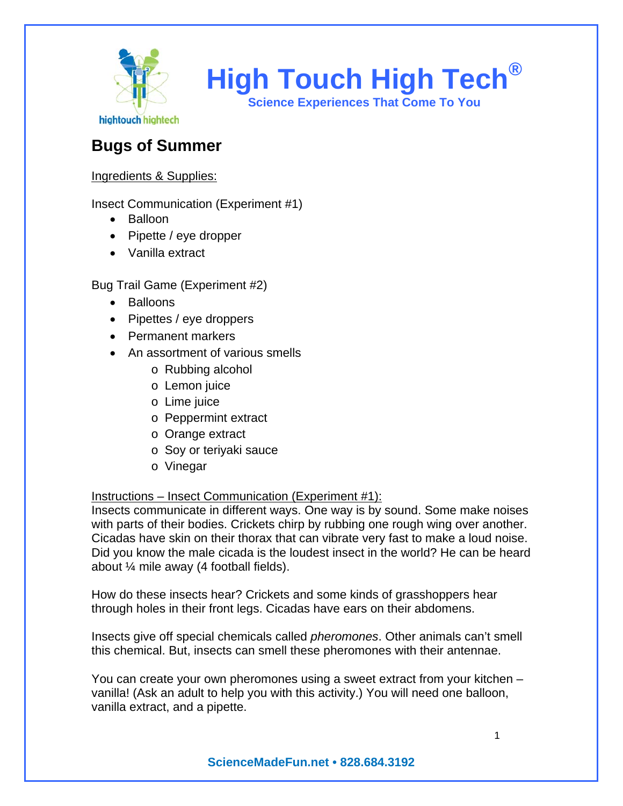

**High Touch High Tech®**

**Science Experiences That Come To You** 

# **Bugs of Summer**

## Ingredients & Supplies:

Insect Communication (Experiment #1)

- Balloon
- Pipette / eye dropper
- Vanilla extract

Bug Trail Game (Experiment #2)

- Balloons
- Pipettes / eye droppers
- Permanent markers
- An assortment of various smells
	- o Rubbing alcohol
	- o Lemon juice
	- o Lime juice
	- o Peppermint extract
	- o Orange extract
	- o Soy or teriyaki sauce
	- o Vinegar

### Instructions – Insect Communication (Experiment #1):

Insects communicate in different ways. One way is by sound. Some make noises with parts of their bodies. Crickets chirp by rubbing one rough wing over another. Cicadas have skin on their thorax that can vibrate very fast to make a loud noise. Did you know the male cicada is the loudest insect in the world? He can be heard about ¼ mile away (4 football fields).

How do these insects hear? Crickets and some kinds of grasshoppers hear through holes in their front legs. Cicadas have ears on their abdomens.

Insects give off special chemicals called *pheromones*. Other animals can't smell this chemical. But, insects can smell these pheromones with their antennae.

You can create your own pheromones using a sweet extract from your kitchen – vanilla! (Ask an adult to help you with this activity.) You will need one balloon, vanilla extract, and a pipette.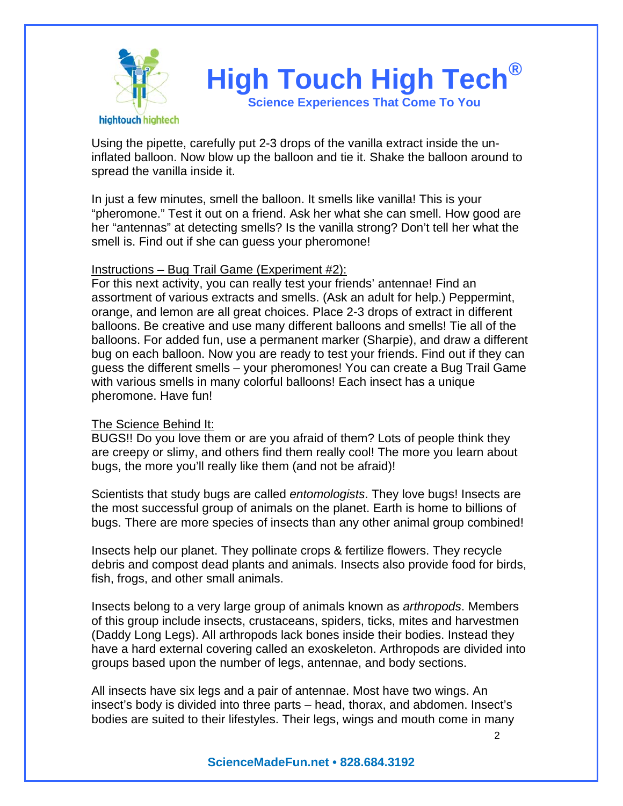

Using the pipette, carefully put 2-3 drops of the vanilla extract inside the uninflated balloon. Now blow up the balloon and tie it. Shake the balloon around to spread the vanilla inside it.

In just a few minutes, smell the balloon. It smells like vanilla! This is your "pheromone." Test it out on a friend. Ask her what she can smell. How good are her "antennas" at detecting smells? Is the vanilla strong? Don't tell her what the smell is. Find out if she can guess your pheromone!

#### Instructions – Bug Trail Game (Experiment #2):

For this next activity, you can really test your friends' antennae! Find an assortment of various extracts and smells. (Ask an adult for help.) Peppermint, orange, and lemon are all great choices. Place 2-3 drops of extract in different balloons. Be creative and use many different balloons and smells! Tie all of the balloons. For added fun, use a permanent marker (Sharpie), and draw a different bug on each balloon. Now you are ready to test your friends. Find out if they can guess the different smells – your pheromones! You can create a Bug Trail Game with various smells in many colorful balloons! Each insect has a unique pheromone. Have fun!

### The Science Behind It:

BUGS!! Do you love them or are you afraid of them? Lots of people think they are creepy or slimy, and others find them really cool! The more you learn about bugs, the more you'll really like them (and not be afraid)!

Scientists that study bugs are called *entomologists*. They love bugs! Insects are the most successful group of animals on the planet. Earth is home to billions of bugs. There are more species of insects than any other animal group combined!

Insects help our planet. They pollinate crops & fertilize flowers. They recycle debris and compost dead plants and animals. Insects also provide food for birds, fish, frogs, and other small animals.

Insects belong to a very large group of animals known as *arthropods*. Members of this group include insects, crustaceans, spiders, ticks, mites and harvestmen (Daddy Long Legs). All arthropods lack bones inside their bodies. Instead they have a hard external covering called an exoskeleton. Arthropods are divided into groups based upon the number of legs, antennae, and body sections.

All insects have six legs and a pair of antennae. Most have two wings. An insect's body is divided into three parts – head, thorax, and abdomen. Insect's bodies are suited to their lifestyles. Their legs, wings and mouth come in many